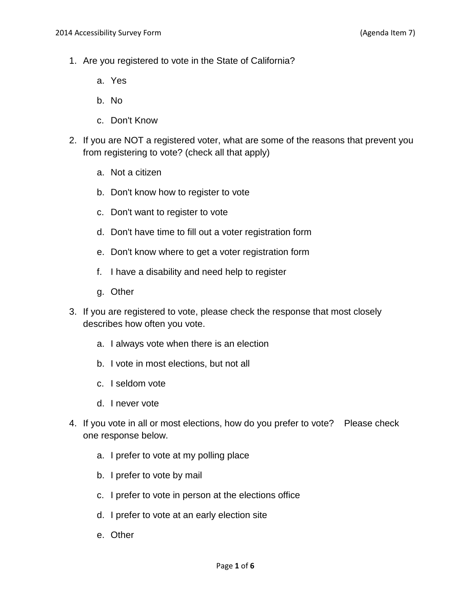- 1. Are you registered to vote in the State of California?
	- a. Yes
	- b. No
	- c. Don't Know
- 2. If you are NOT a registered voter, what are some of the reasons that prevent you from registering to vote? (check all that apply)
	- a. Not a citizen
	- b. Don't know how to register to vote
	- c. Don't want to register to vote
	- d. Don't have time to fill out a voter registration form
	- e. Don't know where to get a voter registration form
	- f. I have a disability and need help to register
	- g. Other
- 3. If you are registered to vote, please check the response that most closely describes how often you vote.
	- a. I always vote when there is an election
	- b. I vote in most elections, but not all
	- c. I seldom vote
	- d. I never vote
- 4. If you vote in all or most elections, how do you prefer to vote? Please check one response below.
	- a. I prefer to vote at my polling place
	- b. I prefer to vote by mail
	- c. I prefer to vote in person at the elections office
	- d. I prefer to vote at an early election site
	- e. Other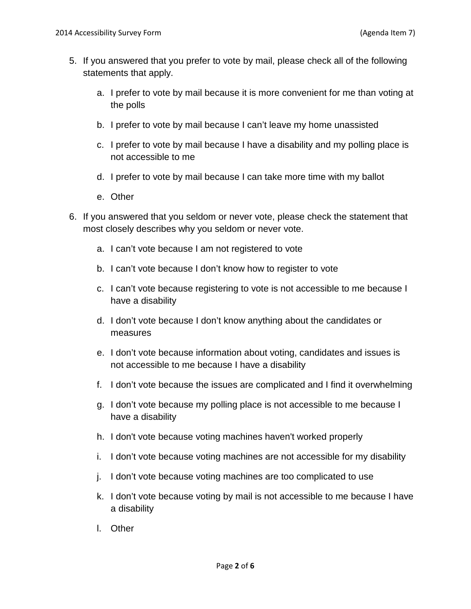- 5. If you answered that you prefer to vote by mail, please check all of the following statements that apply.
	- a. I prefer to vote by mail because it is more convenient for me than voting at the polls
	- b. I prefer to vote by mail because I can't leave my home unassisted
	- c. I prefer to vote by mail because I have a disability and my polling place is not accessible to me
	- d. I prefer to vote by mail because I can take more time with my ballot
	- e. Other
- 6. If you answered that you seldom or never vote, please check the statement that most closely describes why you seldom or never vote.
	- a. I can't vote because I am not registered to vote
	- b. I can't vote because I don't know how to register to vote
	- c. I can't vote because registering to vote is not accessible to me because I have a disability
	- d. I don't vote because I don't know anything about the candidates or measures
	- e. I don't vote because information about voting, candidates and issues is not accessible to me because I have a disability
	- f. I don't vote because the issues are complicated and I find it overwhelming
	- g. I don't vote because my polling place is not accessible to me because I have a disability
	- h. I don't vote because voting machines haven't worked properly
	- i. I don't vote because voting machines are not accessible for my disability
	- j. I don't vote because voting machines are too complicated to use
	- k. I don't vote because voting by mail is not accessible to me because I have a disability
	- l. Other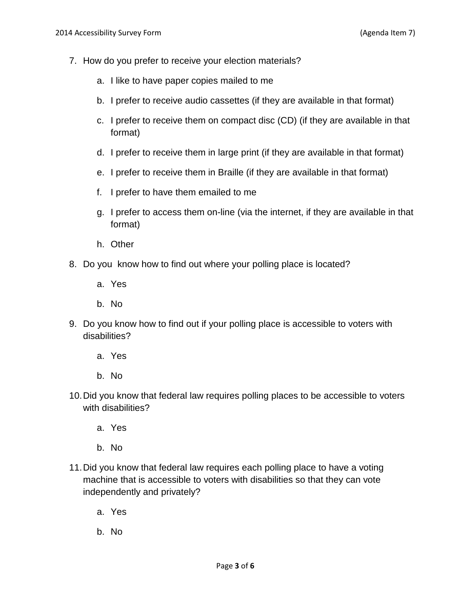- 7. How do you prefer to receive your election materials?
	- a. I like to have paper copies mailed to me
	- b. I prefer to receive audio cassettes (if they are available in that format)
	- c. I prefer to receive them on compact disc (CD) (if they are available in that format)
	- d. I prefer to receive them in large print (if they are available in that format)
	- e. I prefer to receive them in Braille (if they are available in that format)
	- f. I prefer to have them emailed to me
	- g. I prefer to access them on-line (via the internet, if they are available in that format)
	- h. Other
- 8. Do you know how to find out where your polling place is located?
	- a. Yes
	- b. No
- 9. Do you know how to find out if your polling place is accessible to voters with disabilities?
	- a. Yes
	- b. No
- 10.Did you know that federal law requires polling places to be accessible to voters with disabilities?
	- a. Yes
	- b. No
- 11.Did you know that federal law requires each polling place to have a voting machine that is accessible to voters with disabilities so that they can vote independently and privately?
	- a. Yes
	- b. No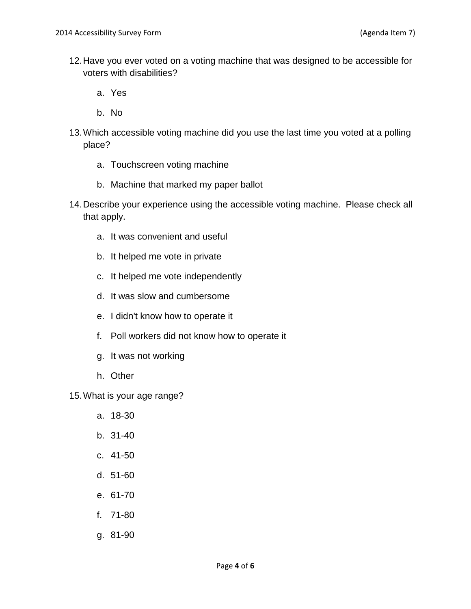- 12.Have you ever voted on a voting machine that was designed to be accessible for voters with disabilities?
	- a. Yes
	- b. No
- 13.Which accessible voting machine did you use the last time you voted at a polling place?
	- a. Touchscreen voting machine
	- b. Machine that marked my paper ballot
- 14.Describe your experience using the accessible voting machine. Please check all that apply.
	- a. It was convenient and useful
	- b. It helped me vote in private
	- c. It helped me vote independently
	- d. It was slow and cumbersome
	- e. I didn't know how to operate it
	- f. Poll workers did not know how to operate it
	- g. It was not working
	- h. Other

15.What is your age range?

- a. 18-30
- b. 31-40
- c. 41-50
- d. 51-60
- e. 61-70
- f. 71-80
- g. 81-90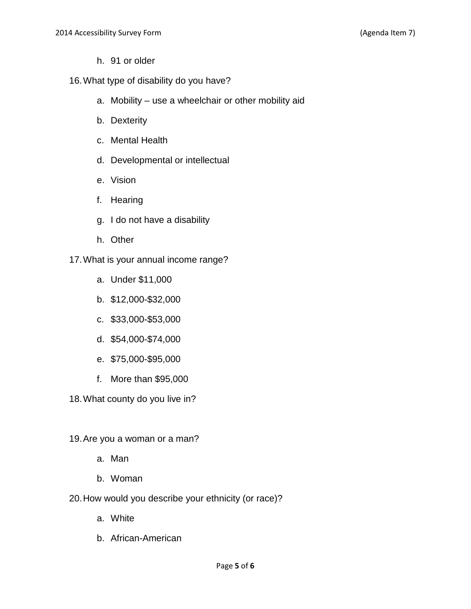- h. 91 or older
- 16.What type of disability do you have?
	- a. Mobility use a wheelchair or other mobility aid
	- b. Dexterity
	- c. Mental Health
	- d. Developmental or intellectual
	- e. Vision
	- f. Hearing
	- g. I do not have a disability
	- h. Other
- 17.What is your annual income range?
	- a. Under \$11,000
	- b. \$12,000-\$32,000
	- c. \$33,000-\$53,000
	- d. \$54,000-\$74,000
	- e. \$75,000-\$95,000
	- f. More than \$95,000
- 18.What county do you live in?
- 19.Are you a woman or a man?
	- a. Man
	- b. Woman
- 20.How would you describe your ethnicity (or race)?
	- a. White
	- b. African-American